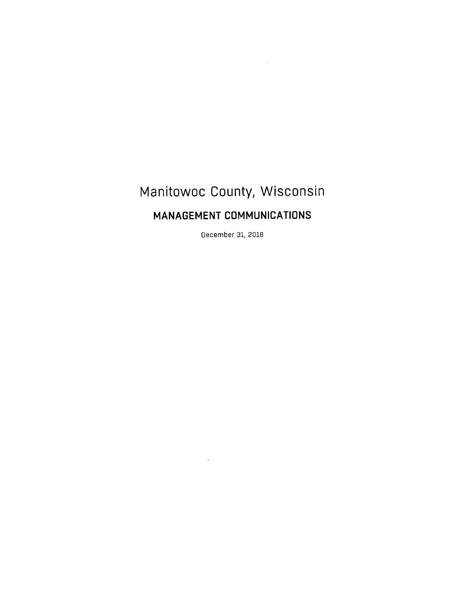# Manitowoc County, Wisconsin

# MANAGEMENT COMMUNICATIONS

December 31, 2018

 $\overline{\phantom{a}}$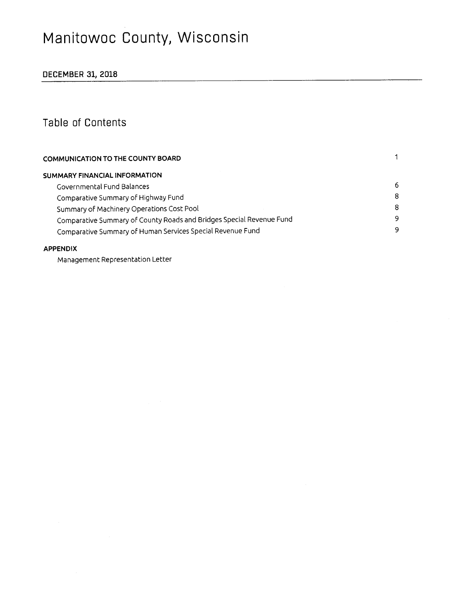# Manitowoc County, Wisconsin

## DECEMBER 31, 2018

## Table of Contents

| COMMUNICATION TO THE COUNTY BOARD                                    |   |  |  |  |
|----------------------------------------------------------------------|---|--|--|--|
| SUMMARY FINANCIAL INFORMATION                                        |   |  |  |  |
| Governmental Fund Balances                                           | 6 |  |  |  |
| Comparative Summary of Highway Fund                                  | 8 |  |  |  |
| Summary of Machinery Operations Cost Pool                            | 8 |  |  |  |
| Comparative Summary of County Roads and Bridges Special Revenue Fund | 9 |  |  |  |
| Comparative Summary of Human Services Special Revenue Fund           | 9 |  |  |  |
|                                                                      |   |  |  |  |

#### APPENDIX

Management Representation Letter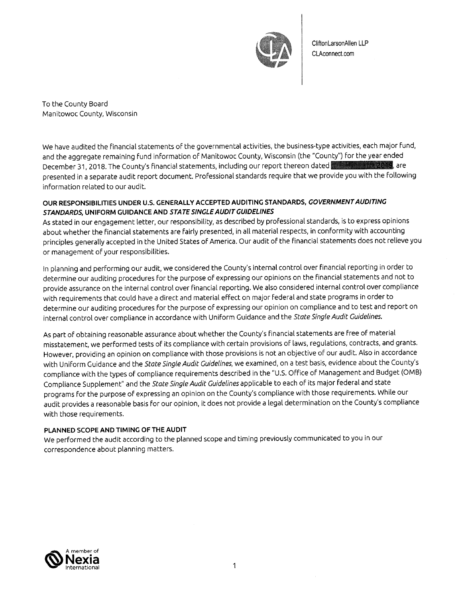

CliftonLarsonAllen LLP CLAconnect.com

To the County Board Manitowoc County, Wisconsin

We have audited the financial statements of the governmental activities, the business-type activities, each major fund, and the aggregate remaining fund information of Manitowoc County, Wisconsin (the "County") for the year ended December 31, 2018. The County's financial statements, including our report thereon dated presented in a separate audit report document. Professional standards require that we provide you with the following information related to our audit.

#### OUR RESPONSIBILITIES UNDER U.S. GENERALLY ACCEPTED AUDITING STANDARDS, GOVERNMENT AUDITING STANDARDS, UNIFORM GUIDANCE AND STATE SINGLE AUDIT GUIDELINES

As stated in our engagement letter, our responsibility, as described by professional standards, is to express opinions about whether the financial statements are fairly presented, in all material respects, in conformity with accounting principles generally accepted in the United States of America. Our audit of the financial statements does not relieve you or management of your responsibilities.

In planning and performing our audit, we considered the County's internal control over financial reporting in order to determine our auditing procedures for the purpose of expressing our opinions on the financial statements and not to provide assurance on the internal control over financial reporting. We also considered internal control over compliance with requirements that could have a direct and material effect on major federal and state programs in order to determine our auditing procedures for the purpose of expressing our opinion on compliance and to test and report on internal control over compliance in accordance with Uniform Guidance and the State Single Audit Guidelines.

As part of obtaining reasonable assurance about whether the County's financial statements are free of material misstatement, we performed tests of its compliance with certain provisions of laws, regulations, contracts, and grants. However, providing an opinion on compliance with those provisions is not an objective of our audit. Also in accordance with Uniform Guidance and the State Single Audit Guidelines, we examined, on a test basis, evidence about the County's compliance with the types of compliance requirements described in the "U.S. Office of Management and Budget (OMB) Compliance Supplement" and the State Single Audit Guidelines applicable to each of its major federal and state programs for the purpose of expressing an opinion on the County's compliance with those requirements. While our audit provides a reasonable basis for our opinion, it does not provide a legal determination on the County's compliance with those requirements.

#### PLANNED SCOPE AND TIMING OF THE AUDIT

We performed the audit according to the planned scope and timing previously communicated to you in our correspondence about planning matters.

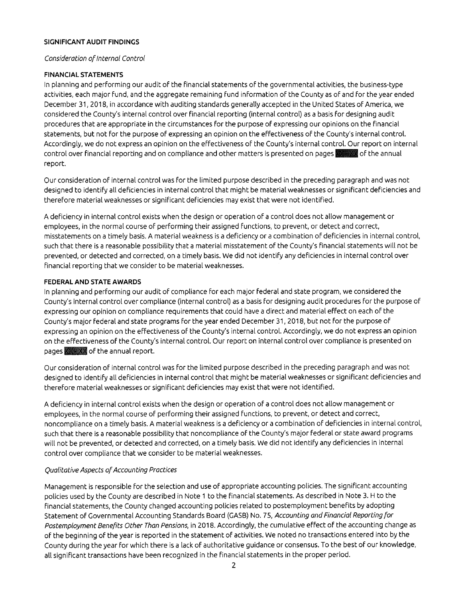#### SIGNIFICANT AUDIT FINDINGS

#### Consideration of Internal Control

#### **FINANCIAL STATEMENTS**

In planning and performing our audit of the financial statements of the governmental activities, the business-type activities, each major fund, and the aggregate remaining fund information of the County as of and for the year ended December 31, 2018, in accordance with auditing standards generally accepted in the United States of America, we considered the County's internal control over financial reporting (internal control) as a basis for designing audit procedures that are appropriate in the circumstances for the purpose of expressing our opinions on the financial statements, but not for the purpose of expressing an opinion on the effectiveness of the County's internal control. Accordingly, we do not express an opinion on the effectiveness of the County's internal control. Our report on internal control over financial reporting and on compliance and other matters is presented on pages and of the annual report.

Our consideration of internal control was for the limited purpose described in the preceding paragraph and was not designed to identify all deficiencies in internal control that might be material weaknesses or significant deficiencies and therefore material weaknesses or significant deficiencies may exist that were not identified.

A deficiency in internal control exists when the design or operation of a control does not allow management or employees, in the normal course of performing their assigned functions, to prevent, or detect and correct, misstatements on a timely basis. A material weakness is a deficiency or a combination of deficiencies in internal control, such that there is a reasonable possibility that a material misstatement of the County's financial statements will not be prevented, or detected and corrected, on a timely basis. We did not identify any deficiencies in internal control over financial reporting that we consider to be material weaknesses.

#### FEDERAL AND STATE AWARDS

In planning and performing our audit of compliance for each major federal and state program, we considered the County's internal control over compliance (internal control) as a basis for designing audit procedures for the purpose of expressing our opinion on compliance requirements that could have a direct and material effect on each of the County's major federal and state programs for the year ended December 31, 2018, but not for the purpose of expressing an opinion on the effectiveness of the County's internal control. Accordingly, we do not express an opinion on the effectiveness of the County's internal control. Our report on internal control over compliance is presented on pages XXX of the annual report.

Our consideration of internal control was for the limited purpose described in the preceding paragraph and was not designed to identify all deficiencies in internal control that might be material weaknesses or significant deficiencies and therefore material weaknesses or significant deficiencies may exist that were not identified.

A deficiency in internal control exists when the design or operation of a control does not allow management or employees, in the normal course of performing their assigned functions, to prevent, or detect and correct, noncompliance on a timely basis. A material weakness is a deficiency or a combination of deficiencies in internal control, such that there is a reasonable possibility that noncompliance of the County's major federal or state award programs will not be prevented, or detected and corrected, on a timely basis. We did not identify any deficiencies in internal control over compliance that we consider to be material weaknesses.

#### Qualitative Aspects of Accounting Practices

Management is responsible for the selection and use of appropriate accounting policies. The significant accounting policies used by the County are described in Note 1 to the financial statements. As described in Note 3. H to the financial statements, the County changed accounting policies related to postemployment benefits by adopting Statement of Governmental Accounting Standards Board (GASB) No. 75, Accounting and Financial Reporting for Postemployment Benefits Other Than Pensions, in 2018. Accordingly, the cumulative effect of the accounting change as of the beginning of the year is reported in the statement of activities. We noted no transactions entered into by the County during the year for which there is a lack of authoritative guidance or consensus. To the best of our knowledge, all significant transactions have been recognized in the financial statements in the proper period.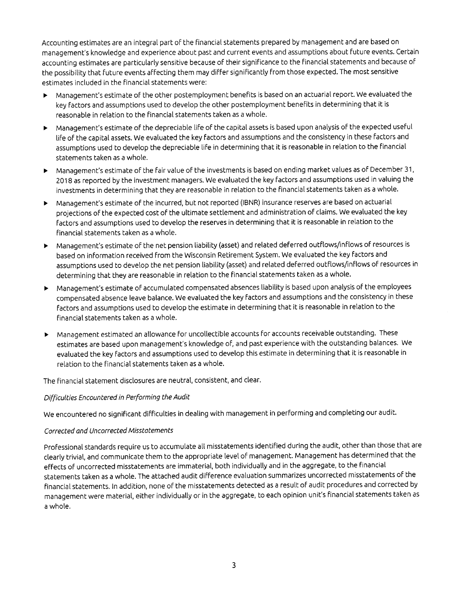Accounting estimates are an integral part of the financial statements prepared by management and are based on management's knowledge and experience about past and current events and assumptions about future events. Certain accounting estimates are particularly sensitive because of their significance to the financial statements and because of the possibility that future events affecting them may differ significantly from those expected. The most sensitive estimates included in the financial statements were:

- Management's estimate of the other postemployment benefits is based on an actuarial report. We evaluated the  $\blacktriangleright$ key factors and assumptions used to develop the other postemployment benefits in determining that it is reasonable in relation to the financial statements taken as a whole.
- > Management's estimate of the depreciable life of the capital assets is based upon analysis of the expected useful life of the capital assets. We evaluated the key factors and assumptions and the consistency in these factors and assumptions used to develop the depreciable life in determining that it is reasonable in relation to the financial statements taken as a whole.
- > Management's estimate of the fair value of the investments is based on ending market values as of December 31, 2018 as reported by the investment managers. We evaluated the key factors and assumptions used in valuing the investments in determining that they are reasonable in relation to the financial statements taken as a whole.
- > Management's estimate of the incurred, but not reported (IBNR) insurance reserves are based on actuarial projections of the expected cost of the ultimate settlement and administration of claims. We evaluated the key factors and assumptions used to develop the reserves in determining that it is reasonable in relation to the financial statements taken as a whole.
- > Management's estimate of the net pension liability (asset) and related deferred outflows/inflows of resources is based on information received from the Wisconsin Retirement System. We evaluated the key factors and assumptions used to develop the net pension liability (asset) and related deferred outflows/inflows of resources in determining that they are reasonable in relation to the financial statements taken as a whole.
- > Management's estimate of accumulated compensated absences liability is based upon analysis of the employees compensated absence leave balance. We evaluated the key factors and assumptions and the consistency in these factors and assumptions used to develop the estimate in determining that it is reasonable in relation to the financial statements taken as a whole.
- > Management estimated an allowance for uncollectible accounts for accounts receivable outstanding. These estimates are based upon management's knowledge of, and past experience with the outstanding balances. We evaluated the key factors and assumptions used to develop this estimate in determining that it is reasonable in relation to the financial statements taken as a whole.

The financial statement disclosures are neutral, consistent, and clear.

#### Difficulties Encountered in Performing the Audit

We encountered no significant difficulties in dealing with management in performing and completing our audit.

#### Corrected and Uncorrected Misstatements

Professional standards require us to accumulate all misstatements identified during the audit, other than those that are clearly trivial, and communicate them to the appropriate level of management. Management has determined that the effects of uncorrected misstatements are immaterial, both individually and in the aggregate, to the financial statements taken as a whole. The attached audit difference evaluation summarizes uncorrected misstatements of the financial statements. In addition, none of the misstatements detected as a result of audit procedures and corrected by management were material, either individually or in the aggregate, to each opinion unit's financial statements taken as a whole.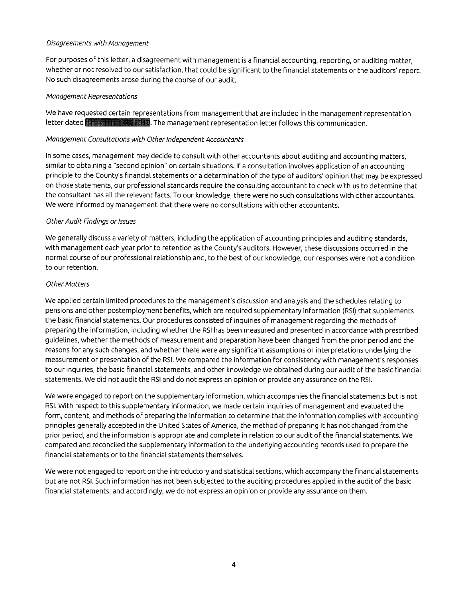#### Disagreements with Management

For purposes of this letter, a disagreement with management is a financial accounting, reporting, or auditing matter, whether or not resolved to our satisfaction, that could be significant to the financial statements or the auditors' report. No such disagreements arose during the course of our audit.

#### Management Representations

We have requested certain representations from management that are included in the management representation letter dated **Albert 2000** The management representation letter follows this communication.

#### Management Consultations with Other Independent Accountants

In some cases, management may decide to consult with other accountants about auditing and accounting matters, similar to obtaining a "second opinion" on certain situations. If a consultation involves application of an accounting principle to the County's financial statements or a determination of the type of auditors' opinion that may be expressed on those statements, our professional standards require the consulting accountant to check with us to determine that the consultant has all the relevant facts. To our knowledge, there were no such consultations with other accountants. We were informed by management that there were no consultations with other accountants.

#### Other Audit Findings or Issues

We generally discuss a variety of matters, including the application of accounting principles and auditing standards, with management each year prior to retention as the County's auditors. However, these discussions occurred in the normal course of our professional relationship and, to the best of our knowledge, our responses were not a condition to our retention.

#### **Other Matters**

We applied certain limited procedures to the management's discussion and analysis and the schedules relating to pensions and other postemployment benefits, which are required supplementary information (RSI) that supplements the basic financial statements. Our procedures consisted of inquiries of management regarding the methods of preparing the information, including whether the RSI has been measured and presented in accordance with prescribed guidelines, whether the methods of measurement and preparation have been changed from the prior period and the reasons for any such changes, and whether there were any significant assumptions or interpretations underlying the measurement or presentation of the RSI. We compared the information for consistency with management's responses to our inquiries, the basic financial statements, and other knowledge we obtained during our audit of the basic financial statements. We did not audit the RSI and do not express an opinion or provide any assurance on the RSI.

We were engaged to report on the supplementary information, which accompanies the financial statements but is not RSI. With respect to this supplementary information, we made certain inquiries of management and evaluated the form, content, and methods of preparing the information to determine that the information complies with accounting principles generally accepted in the United States of America, the method of preparing it has not changed from the prior period, and the information is appropriate and complete in relation to our audit of the financial statements. We compared and reconciled the supplementary information to the underlying accounting records used to prepare the financial statements or to the financial statements themselves.

We were not engaged to report on the introductory and statistical sections, which accompany the financial statements but are not RSI. Such information has not been subjected to the auditing procedures applied in the audit of the basic financial statements, and accordingly, we do not express an opinion or provide any assurance on them.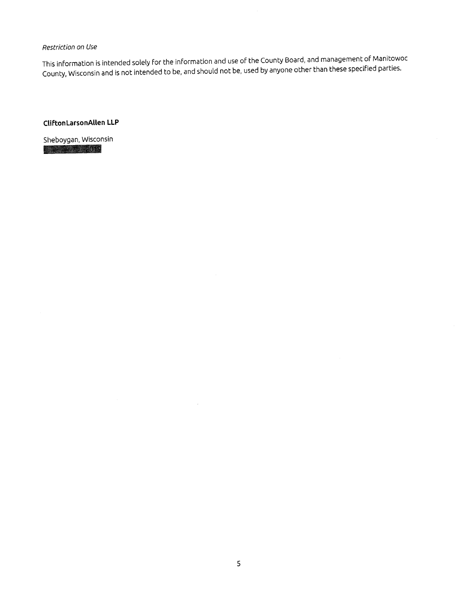#### Restriction on Use

This information is intended solely for the information and use of the County Board, and management of Manitowoc County, Wisconsin and is not intended to be, and should not be, used by anyone other than these specified parties.

#### CliftonLarsonAllen LLP

Sheboygan, Wisconsin **ALCOHOL: 2019**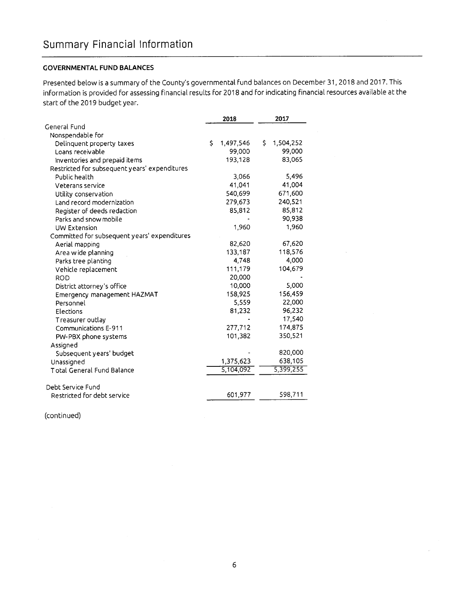#### **GOVERNMENTAL FUND BALANCES**

Presented below is a summary of the County's governmental fund balances on December 31, 2018 and 2017. This information is provided for assessing financial results for 2018 and for indicating financial resources available at the start of the 2019 budget year.

|                                               | 2018            | 2017             |  |
|-----------------------------------------------|-----------------|------------------|--|
| General Fund                                  |                 |                  |  |
| Nonspendable for                              |                 |                  |  |
| Delinquent property taxes                     | Ś.<br>1,497,546 | \$.<br>1,504,252 |  |
| Loans receivable                              | 99,000          | 99,000           |  |
| Inventories and prepaid items                 | 193,128         | 83,065           |  |
| Restricted for subsequent years' expenditures |                 |                  |  |
| Public health                                 | 3,066           | 5.496            |  |
| Veterans service                              | 41,041          | 41,004           |  |
| Utility conservation                          | 540,699         | 671,600          |  |
| Land record modernization                     | 279,673         | 240,521          |  |
| Register of deeds redaction                   | 85,812          | 85,812           |  |
| Parks and snow mobile                         |                 | 90,938           |  |
| UW Extension                                  | 1,960           | 1,960            |  |
| Committed for subsequent years' expenditures  |                 |                  |  |
| Aerial mapping                                | 82,620          | 67,620           |  |
| Area wide planning                            | 133,187         | 118,576          |  |
| Parks tree planting                           | 4,748           | 4,000            |  |
| Vehicle replacement                           | 111,179         | 104,679          |  |
| <b>ROD</b>                                    | 20,000          |                  |  |
| District attorney's office                    | 10,000          | 5.000            |  |
| Emergency management HAZMAT                   | 158,925         | 156,459          |  |
| Personnel                                     | 5,559           | 22,000           |  |
| Elections                                     | 81,232          | 96,232           |  |
| Treasurer outlay                              |                 | 17,540           |  |
| Communications E-911                          | 277,712         | 174,875          |  |
| PW-PBX phone systems                          | 101,382         | 350,521          |  |
| Assigned                                      |                 |                  |  |
| Subsequent years' budget                      |                 | 820,000          |  |
| Unassigned                                    | 1,375,623       | 638,105          |  |
| Total General Fund Balance                    | 5,104,092       | 5,399,255        |  |
|                                               |                 |                  |  |
| Debt Service Fund                             |                 |                  |  |
| Restricted for debt service                   | 601,977         | 598,711          |  |

(continued)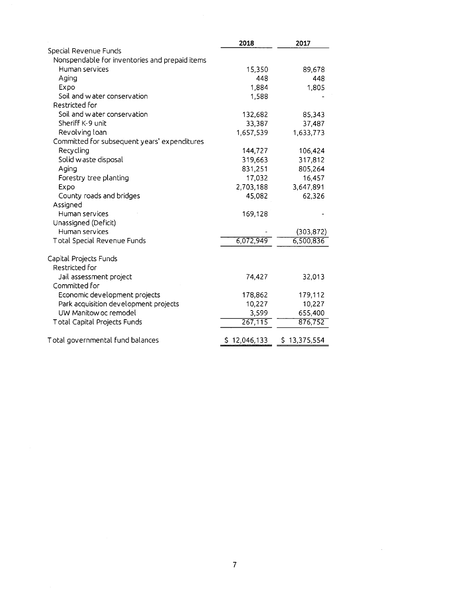|                                                | 2018         | 2017         |
|------------------------------------------------|--------------|--------------|
| Special Revenue Funds                          |              |              |
| Nonspendable for inventories and prepaid items |              |              |
| Human services                                 | 15,350       | 89,678       |
| Aging                                          | 448          | 448          |
| Expo                                           | 1,884        | 1,805        |
| Soil and water conservation                    | 1,588        |              |
| Restricted for                                 |              |              |
| Soil and water conservation                    | 132,682      | 85,343       |
| Sheriff K-9 unit                               | 33,387       | 37,487       |
| Revolving loan                                 | 1,657,539    | 1,633,773    |
| Committed for subsequent years' expenditures   |              |              |
| Recycling                                      | 144,727      | 106,424      |
| Solid waste disposal                           | 319,663      | 317,812      |
| Aging                                          | 831,251      | 805,264      |
| Forestry tree planting                         | 17,032       | 16,457       |
| Expo                                           | 2,703,188    | 3,647,891    |
| County roads and bridges                       | 45,082       | 62,326       |
| Assigned                                       |              |              |
| Human services                                 | 169,128      |              |
| Unassigned (Deficit)                           |              |              |
| Human services                                 |              | (303, 872)   |
| Total Special Revenue Funds                    | 6,072,949    | 6,500,836    |
| Capital Projects Funds                         |              |              |
| Restricted for                                 |              |              |
| Jail assessment project                        | 74,427       | 32,013       |
| Committed for                                  |              |              |
| Economic development projects                  | 178,862      | 179,112      |
| Park acquisition development projects          | 10,227       | 10,227       |
| UW Manitow oc remodel                          | 3,599        | 655,400      |
| Total Capital Projects Funds                   | 267,115      | 876,752      |
| Total governmental fund balances               | \$12,046,133 | \$13,375,554 |
|                                                |              |              |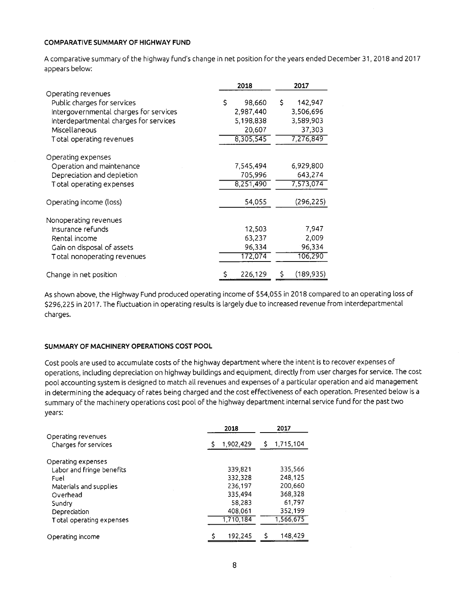#### **COMPARATIVE SUMMARY OF HIGHWAY FUND**

A comparative summary of the highway fund's change in net position for the years ended December 31, 2018 and 2017 appears below:

|                                                                                                                                                                                    | 2018                                                          | 2017                                                           |  |  |
|------------------------------------------------------------------------------------------------------------------------------------------------------------------------------------|---------------------------------------------------------------|----------------------------------------------------------------|--|--|
| Operating revenues<br>Public charges for services<br>Intergovernmental charges for services<br>Interdepartmental charges for services<br>Miscellaneous<br>Total operating revenues | \$<br>98,660<br>2,987,440<br>5,198,838<br>20,607<br>8,305,545 | \$<br>142,947<br>3,506,696<br>3,589,903<br>37,303<br>7,276,849 |  |  |
| Operating expenses<br>Operation and maintenance<br>Depreciation and depletion<br>Total operating expenses                                                                          | 7,545,494<br>705,996<br>8,251,490                             | 6,929,800<br>643,274<br>7,573,074                              |  |  |
| Operating income (loss)                                                                                                                                                            | 54,055                                                        | (296, 225)                                                     |  |  |
| Nonoperating revenues<br>Insurance refunds<br>Rental income<br>Gain on disposal of assets<br>Total nonoperating revenues                                                           | 12,503<br>63,237<br>96,334<br>172,074                         | 7,947<br>2,009<br>96,334<br>106,290                            |  |  |
| Change in net position                                                                                                                                                             | \$<br>226,129                                                 | (189, 935)<br>S                                                |  |  |

As shown above, the Highway Fund produced operating income of \$54,055 in 2018 compared to an operating loss of \$296,225 in 2017. The fluctuation in operating results is largely due to increased revenue from interdepartmental charges.

#### SUMMARY OF MACHINERY OPERATIONS COST POOL

Cost pools are used to accumulate costs of the highway department where the intent is to recover expenses of operations, including depreciation on highway buildings and equipment, directly from user charges for service. The cost pool accounting system is designed to match all revenues and expenses of a particular operation and aid management in determining the adequacy of rates being charged and the cost effectiveness of each operation. Presented below is a summary of the machinery operations cost pool of the highway department internal service fund for the past two years:

|                           | 2018    |           |  |           |
|---------------------------|---------|-----------|--|-----------|
| Operating revenues        |         |           |  |           |
| Charges for services      |         | 1,902,429 |  | 1,715,104 |
| Operating expenses        |         |           |  |           |
| Labor and fringe benefits |         | 339,821   |  | 335.566   |
| Fuel                      |         | 332.328   |  | 248,125   |
| Materials and supplies    |         | 236,197   |  | 200.660   |
| Overhead                  | 335,494 |           |  | 368,328   |
| Sundry                    | 58,283  |           |  | 61,797    |
| Depreciation              |         | 408,061   |  | 352,199   |
| Total operating expenses  |         | 1,710,184 |  | 1,566,675 |
|                           |         |           |  |           |
| Operating income          |         | 192,245   |  | 148,429   |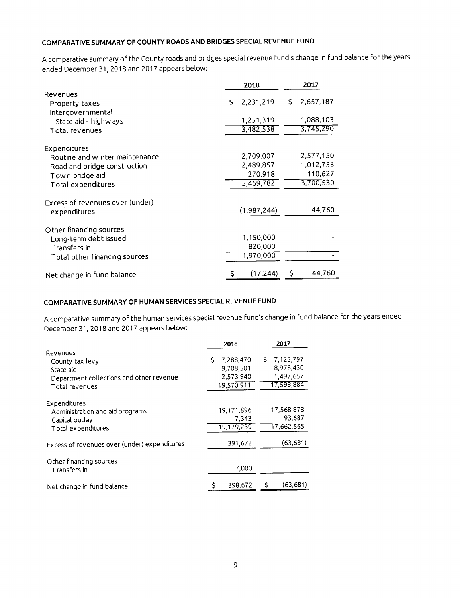### COMPARATIVE SUMMARY OF COUNTY ROADS AND BRIDGES SPECIAL REVENUE FUND

A comparative summary of the County roads and bridges special revenue fund's change in fund balance for the years ended December 31, 2018 and 2017 appears below:

|                                     | 2018            | 2017            |  |  |
|-------------------------------------|-----------------|-----------------|--|--|
| Revenues                            | 2,231,219<br>Ŝ. | 2,657,187<br>Ŝ. |  |  |
| Property taxes<br>Intergovernmental |                 |                 |  |  |
| State aid - highways                | 1,251,319       | 1,088,103       |  |  |
| Total revenues                      | 3,482,538       | 3,745,290       |  |  |
| Expenditures                        |                 |                 |  |  |
| Routine and winter maintenance      | 2,709,007       | 2,577,150       |  |  |
| Road and bridge construction        | 2,489,857       | 1,012,753       |  |  |
| Town bridge aid                     | 270,918         | 110,627         |  |  |
| Total expenditures                  | 5,469,782       | 3,700,530       |  |  |
| Excess of revenues over (under)     |                 |                 |  |  |
| expenditures                        | (1,987,244)     | 44,760          |  |  |
| Other financing sources             |                 |                 |  |  |
| Long-term debt issued               | 1,150,000       |                 |  |  |
| Transfers in                        | 820,000         |                 |  |  |
| Total other financing sources       | 1,970,000       |                 |  |  |
| Net change in fund balance          | (17, 244)<br>\$ | 44.760<br>\$    |  |  |

### COMPARATIVE SUMMARY OF HUMAN SERVICES SPECIAL REVENUE FUND

A comparative summary of the human services special revenue fund's change in fund balance for the years ended December 31, 2018 and 2017 appears below:

|                                                                                                        | 2018                                                    | 2017                                                    |  |  |
|--------------------------------------------------------------------------------------------------------|---------------------------------------------------------|---------------------------------------------------------|--|--|
| Revenues<br>County tax levy<br>State aid<br>Department collections and other revenue<br>Total revenues | 7.288,470<br>Ś.<br>9,708,501<br>2.573,940<br>19,570,911 | 7,122,797<br>S.<br>8,978,430<br>1,497,657<br>17,598,884 |  |  |
| Expenditures<br>Administration and aid programs<br>Capital outlay<br>Total expenditures                | 19,171,896<br>7.343<br>19,179,239                       | 17,568,878<br>93.687<br>17,662,565                      |  |  |
| Excess of revenues over (under) expenditures                                                           | 391,672                                                 | (63, 681)                                               |  |  |
| Other financing sources<br>Transfers in                                                                | 7,000                                                   |                                                         |  |  |
| Net change in fund balance                                                                             | 398,672                                                 | (63, 681)<br>\$                                         |  |  |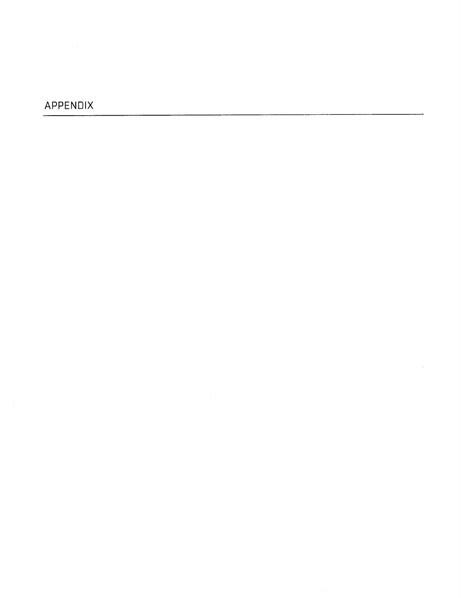## APPENDIX